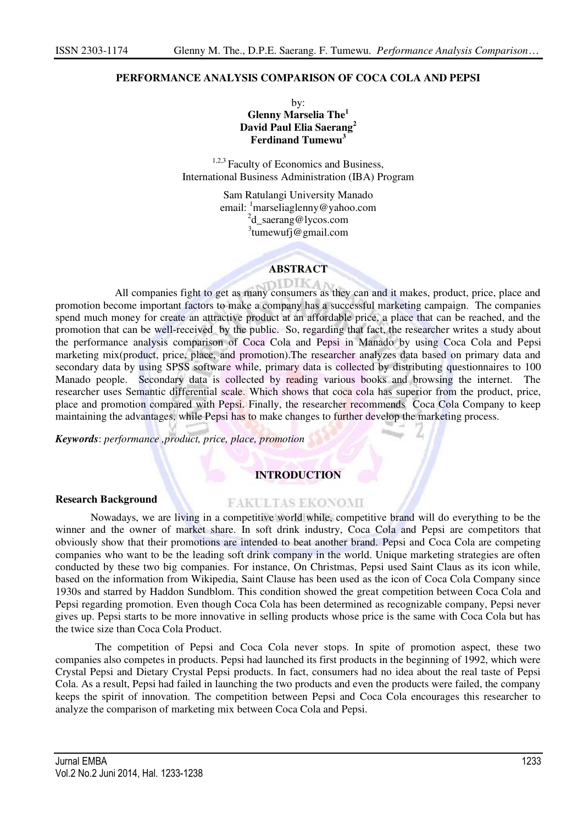## **PERFORMANCE ANALYSIS COMPARISON OF COCA COLA AND PEPSI**

by: **Glenny Marselia The<sup>1</sup> David Paul Elia Saerang<sup>2</sup> Ferdinand Tumewu<sup>3</sup>**

<sup>1,2,3</sup> Faculty of Economics and Business, International Business Administration (IBA) Program

> Sam Ratulangi University Manado email: <sup>1</sup>marseliaglenny@yahoo.com<br><sup>2</sup>d\_saerang@lycos.com 3 tumewufj@gmail.com

### **ABSTRACT**

All companies fight to get as many consumers as they can and it makes, product, price, place and promotion become important factors to make a company has a successful marketing campaign. The companies spend much money for create an attractive product at an affordable price, a place that can be reached, and the promotion that can be well-received by the public. So, regarding that fact, the researcher writes a study about the performance analysis comparison of Coca Cola and Pepsi in Manado by using Coca Cola and Pepsi marketing mix(product, price, place, and promotion).The researcher analyzes data based on primary data and secondary data by using SPSS software while, primary data is collected by distributing questionnaires to 100 Manado people. Secondary data is collected by reading various books and browsing the internet. The researcher uses Semantic differential scale. Which shows that coca cola has superior from the product, price, place and promotion compared with Pepsi. Finally, the researcher recommends Coca Cola Company to keep maintaining the advantages, while Pepsi has to make changes to further develop the marketing process.

*Keywords*: *performance ,product, price, place, promotion* 

## **INTRODUCTION**

#### **Research Background**

#### **FAKULTAS EKONOMI**

Nowadays, we are living in a competitive world while, competitive brand will do everything to be the winner and the owner of market share. In soft drink industry, Coca Cola and Pepsi are competitors that obviously show that their promotions are intended to beat another brand. Pepsi and Coca Cola are competing companies who want to be the leading soft drink company in the world. Unique marketing strategies are often conducted by these two big companies. For instance, On Christmas, Pepsi used Saint Claus as its icon while, based on the information from Wikipedia, Saint Clause has been used as the icon of Coca Cola Company since 1930s and starred by Haddon Sundblom. This condition showed the great competition between Coca Cola and Pepsi regarding promotion. Even though Coca Cola has been determined as recognizable company, Pepsi never gives up. Pepsi starts to be more innovative in selling products whose price is the same with Coca Cola but has the twice size than Coca Cola Product.

The competition of Pepsi and Coca Cola never stops. In spite of promotion aspect, these two companies also competes in products. Pepsi had launched its first products in the beginning of 1992, which were Crystal Pepsi and Dietary Crystal Pepsi products. In fact, consumers had no idea about the real taste of Pepsi Cola. As a result, Pepsi had failed in launching the two products and even the products were failed, the company keeps the spirit of innovation. The competition between Pepsi and Coca Cola encourages this researcher to analyze the comparison of marketing mix between Coca Cola and Pepsi.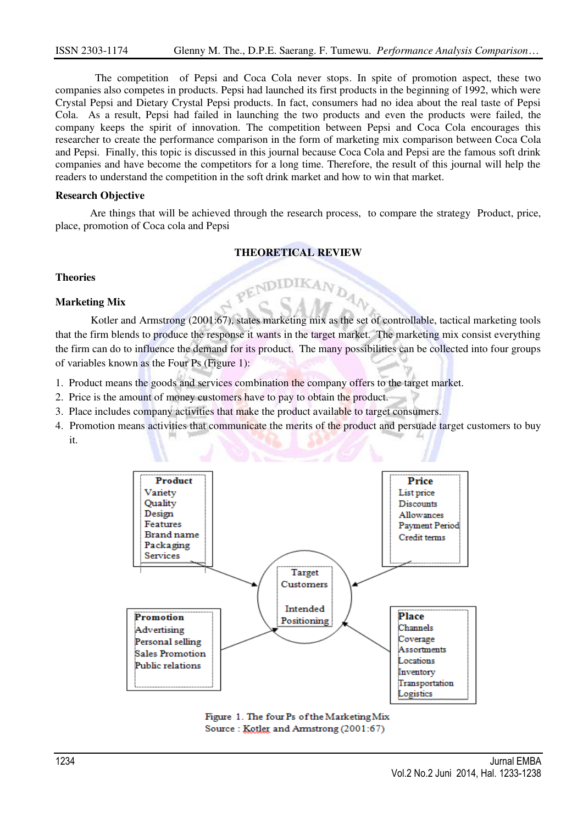The competition of Pepsi and Coca Cola never stops. In spite of promotion aspect, these two companies also competes in products. Pepsi had launched its first products in the beginning of 1992, which were Crystal Pepsi and Dietary Crystal Pepsi products. In fact, consumers had no idea about the real taste of Pepsi Cola. As a result, Pepsi had failed in launching the two products and even the products were failed, the company keeps the spirit of innovation. The competition between Pepsi and Coca Cola encourages this researcher to create the performance comparison in the form of marketing mix comparison between Coca Cola and Pepsi. Finally, this topic is discussed in this journal because Coca Cola and Pepsi are the famous soft drink companies and have become the competitors for a long time. Therefore, the result of this journal will help the readers to understand the competition in the soft drink market and how to win that market.

#### **Research Objective**

Are things that will be achieved through the research process, to compare the strategy Product, price, place, promotion of Coca cola and Pepsi

### **THEORETICAL REVIEW**

N PENDIDIKAN DAN

**Theories** 

### **Marketing Mix**

Kotler and Armstrong (2001:67), states marketing mix as the set of controllable, tactical marketing tools that the firm blends to produce the response it wants in the target market. The marketing mix consist everything the firm can do to influence the demand for its product. The many possibilities can be collected into four groups of variables known as the Four Ps (Figure 1):

- 1. Product means the goods and services combination the company offers to the target market.
- 2. Price is the amount of money customers have to pay to obtain the product.
- 3. Place includes company activities that make the product available to target consumers.
- 4. Promotion means activities that communicate the merits of the product and persuade target customers to buy it.



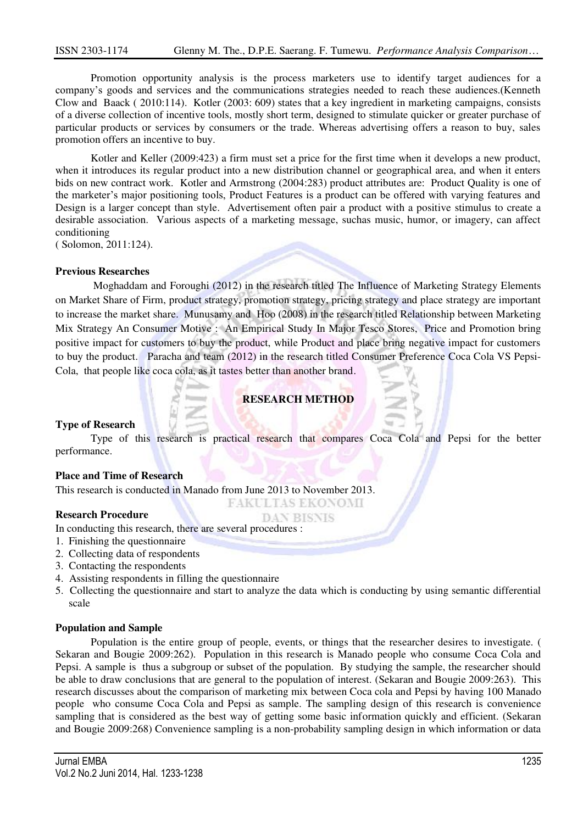Promotion opportunity analysis is the process marketers use to identify target audiences for a company's goods and services and the communications strategies needed to reach these audiences.(Kenneth Clow and Baack ( 2010:114). Kotler (2003: 609) states that a key ingredient in marketing campaigns, consists of a diverse collection of incentive tools, mostly short term, designed to stimulate quicker or greater purchase of particular products or services by consumers or the trade. Whereas advertising offers a reason to buy, sales promotion offers an incentive to buy.

Kotler and Keller (2009:423) a firm must set a price for the first time when it develops a new product, when it introduces its regular product into a new distribution channel or geographical area, and when it enters bids on new contract work. Kotler and Armstrong (2004:283) product attributes are: Product Quality is one of the marketer's major positioning tools, Product Features is a product can be offered with varying features and Design is a larger concept than style. Advertisement often pair a product with a positive stimulus to create a desirable association. Various aspects of a marketing message, suchas music, humor, or imagery, can affect conditioning

( Solomon, 2011:124).

### **Previous Researches**

 Moghaddam and Foroughi (2012) in the research titled The Influence of Marketing Strategy Elements on Market Share of Firm, product strategy, promotion strategy, pricing strategy and place strategy are important to increase the market share. Munusamy and Hoo (2008) in the research titled Relationship between Marketing Mix Strategy An Consumer Motive : An Empirical Study In Major Tesco Stores, Price and Promotion bring positive impact for customers to buy the product, while Product and place bring negative impact for customers to buy the product. Paracha and team (2012) in the research titled Consumer Preference Coca Cola VS Pepsi-Cola, that people like coca cola, as it tastes better than another brand.

## **RESEARCH METHOD**

#### **Type of Research**

Type of this research is practical research that compares Coca Cola and Pepsi for the better performance.

> **FAKULTAS EKONOMI DAN BISNIS**

## **Place and Time of Research**

This research is conducted in Manado from June 2013 to November 2013.

## **Research Procedure**

#### In conducting this research, there are several procedures :

- 1. Finishing the questionnaire
- 2. Collecting data of respondents
- 3. Contacting the respondents
- 4. Assisting respondents in filling the questionnaire
- 5. Collecting the questionnaire and start to analyze the data which is conducting by using semantic differential scale

#### **Population and Sample**

Population is the entire group of people, events, or things that the researcher desires to investigate. ( Sekaran and Bougie 2009:262). Population in this research is Manado people who consume Coca Cola and Pepsi. A sample is thus a subgroup or subset of the population. By studying the sample, the researcher should be able to draw conclusions that are general to the population of interest. (Sekaran and Bougie 2009:263). This research discusses about the comparison of marketing mix between Coca cola and Pepsi by having 100 Manado people who consume Coca Cola and Pepsi as sample. The sampling design of this research is convenience sampling that is considered as the best way of getting some basic information quickly and efficient. (Sekaran and Bougie 2009:268) Convenience sampling is a non-probability sampling design in which information or data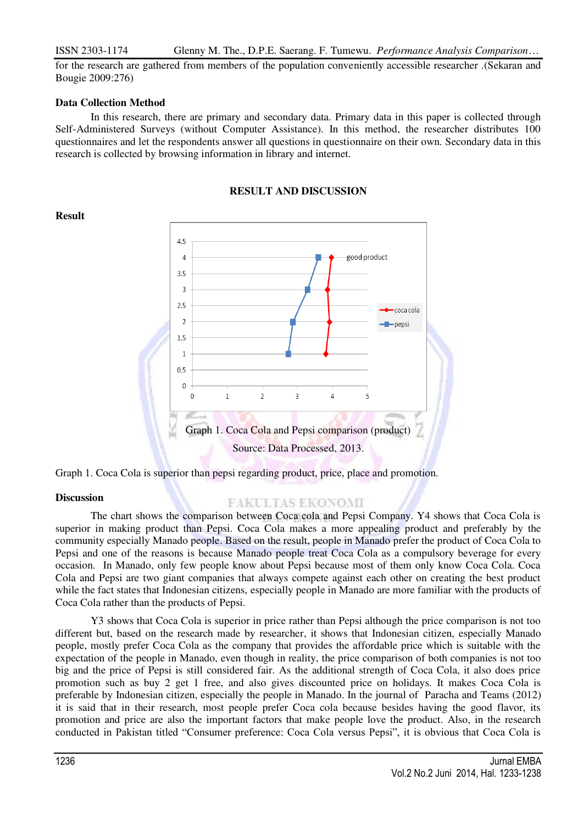## ISSN 2303-1174 Glenny M. The., D.P.E. Saerang. F. Tumewu. *Performance Analysis Comparison*…

for the research are gathered from members of the population conveniently accessible researcher .(Sekaran and Bougie 2009:276)

## **Data Collection Method**

In this research, there are primary and secondary data. Primary data in this paper is collected through Self-Administered Surveys (without Computer Assistance). In this method, the researcher distributes 100 questionnaires and let the respondents answer all questions in questionnaire on their own. Secondary data in this research is collected by browsing information in library and internet.

## **RESULT AND DISCUSSION**



## Graph 1. Coca Cola is superior than pepsi regarding product, price, place and promotion.

#### **Discussion**

## FAKULTAS EKONOMI

The chart shows the comparison between Coca cola and Pepsi Company. Y4 shows that Coca Cola is superior in making product than Pepsi. Coca Cola makes a more appealing product and preferably by the community especially Manado people. Based on the result, people in Manado prefer the product of Coca Cola to Pepsi and one of the reasons is because Manado people treat Coca Cola as a compulsory beverage for every occasion. In Manado, only few people know about Pepsi because most of them only know Coca Cola. Coca Cola and Pepsi are two giant companies that always compete against each other on creating the best product while the fact states that Indonesian citizens, especially people in Manado are more familiar with the products of Coca Cola rather than the products of Pepsi.

Y3 shows that Coca Cola is superior in price rather than Pepsi although the price comparison is not too different but, based on the research made by researcher, it shows that Indonesian citizen, especially Manado people, mostly prefer Coca Cola as the company that provides the affordable price which is suitable with the expectation of the people in Manado, even though in reality, the price comparison of both companies is not too big and the price of Pepsi is still considered fair. As the additional strength of Coca Cola, it also does price promotion such as buy 2 get 1 free, and also gives discounted price on holidays. It makes Coca Cola is preferable by Indonesian citizen, especially the people in Manado. In the journal of Paracha and Teams (2012) it is said that in their research, most people prefer Coca cola because besides having the good flavor, its promotion and price are also the important factors that make people love the product. Also, in the research conducted in Pakistan titled "Consumer preference: Coca Cola versus Pepsi", it is obvious that Coca Cola is

# **Result**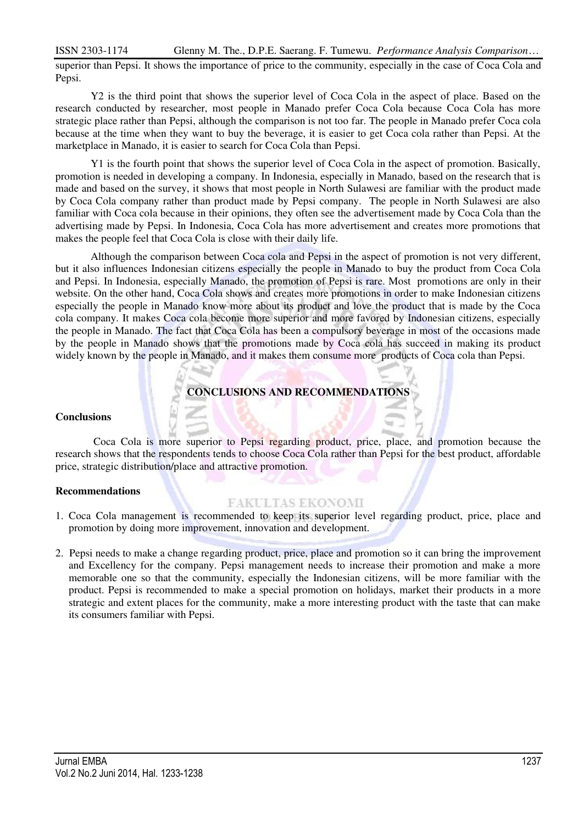# ISSN 2303-1174 Glenny M. The., D.P.E. Saerang. F. Tumewu. *Performance Analysis Comparison*…

superior than Pepsi. It shows the importance of price to the community, especially in the case of Coca Cola and Pepsi.

Y2 is the third point that shows the superior level of Coca Cola in the aspect of place. Based on the research conducted by researcher, most people in Manado prefer Coca Cola because Coca Cola has more strategic place rather than Pepsi, although the comparison is not too far. The people in Manado prefer Coca cola because at the time when they want to buy the beverage, it is easier to get Coca cola rather than Pepsi. At the marketplace in Manado, it is easier to search for Coca Cola than Pepsi.

Y1 is the fourth point that shows the superior level of Coca Cola in the aspect of promotion. Basically, promotion is needed in developing a company. In Indonesia, especially in Manado, based on the research that is made and based on the survey, it shows that most people in North Sulawesi are familiar with the product made by Coca Cola company rather than product made by Pepsi company. The people in North Sulawesi are also familiar with Coca cola because in their opinions, they often see the advertisement made by Coca Cola than the advertising made by Pepsi. In Indonesia, Coca Cola has more advertisement and creates more promotions that makes the people feel that Coca Cola is close with their daily life.

Although the comparison between Coca cola and Pepsi in the aspect of promotion is not very different, but it also influences Indonesian citizens especially the people in Manado to buy the product from Coca Cola and Pepsi. In Indonesia, especially Manado, the promotion of Pepsi is rare. Most promotions are only in their website. On the other hand, Coca Cola shows and creates more promotions in order to make Indonesian citizens especially the people in Manado know more about its product and love the product that is made by the Coca cola company. It makes Coca cola become more superior and more favored by Indonesian citizens, especially the people in Manado. The fact that Coca Cola has been a compulsory beverage in most of the occasions made by the people in Manado shows that the promotions made by Coca cola has succeed in making its product widely known by the people in Manado, and it makes them consume more products of Coca cola than Pepsi.

# **CONCLUSIONS AND RECOMMENDATIONS**

## **Conclusions**

 Coca Cola is more superior to Pepsi regarding product, price, place, and promotion because the research shows that the respondents tends to choose Coca Cola rather than Pepsi for the best product, affordable price, strategic distribution/place and attractive promotion.

## **Recommendations**

# **FAKULTAS EKONOMI**

- 1. Coca Cola management is recommended to keep its superior level regarding product, price, place and promotion by doing more improvement, innovation and development.
- 2. Pepsi needs to make a change regarding product, price, place and promotion so it can bring the improvement and Excellency for the company. Pepsi management needs to increase their promotion and make a more memorable one so that the community, especially the Indonesian citizens, will be more familiar with the product. Pepsi is recommended to make a special promotion on holidays, market their products in a more strategic and extent places for the community, make a more interesting product with the taste that can make its consumers familiar with Pepsi.